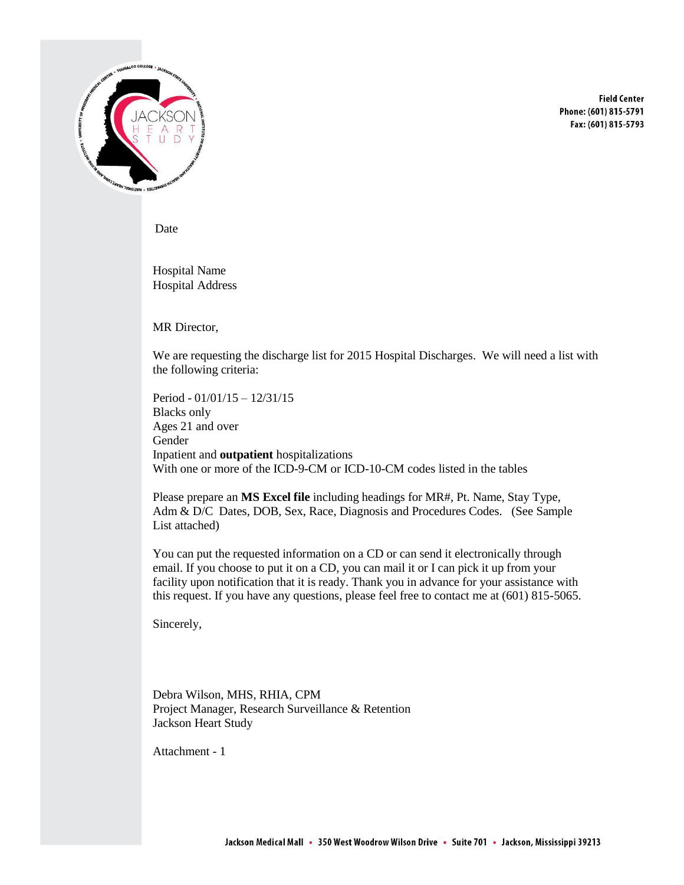

**Field Center** Phone: (601) 815-5791 Fax: (601) 815-5793

Date

Hospital Name Hospital Address

MR Director,

We are requesting the discharge list for 2015 Hospital Discharges. We will need a list with the following criteria:

Period - 01/01/15 – 12/31/15 Blacks only Ages 21 and over Gender Inpatient and **outpatient** hospitalizations With one or more of the ICD-9-CM or ICD-10-CM codes listed in the tables

Please prepare an **MS Excel file** including headings for MR#, Pt. Name, Stay Type, Adm & D/C Dates, DOB, Sex, Race, Diagnosis and Procedures Codes. (See Sample List attached)

You can put the requested information on a CD or can send it electronically through email. If you choose to put it on a CD, you can mail it or I can pick it up from your facility upon notification that it is ready. Thank you in advance for your assistance with this request. If you have any questions, please feel free to contact me at (601) 815-5065.

Sincerely,

Debra Wilson, MHS, RHIA, CPM Project Manager, Research Surveillance & Retention Jackson Heart Study

Attachment - 1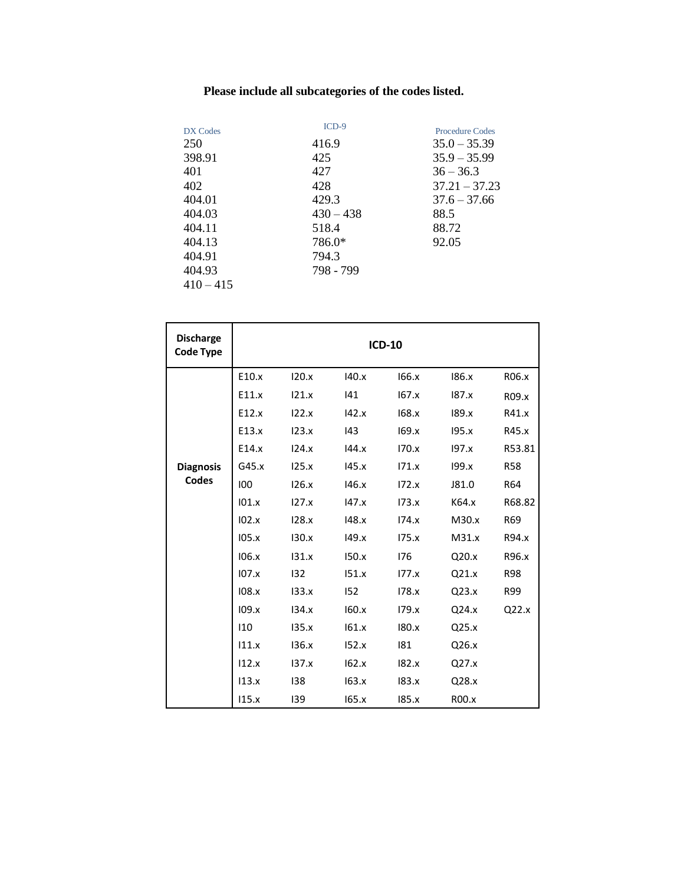## **Please include all subcategories of the codes listed.**

| DX Codes    | $ICD-9$     | <b>Procedure Codes</b> |
|-------------|-------------|------------------------|
| 250         | 416.9       | $35.0 - 35.39$         |
| 398.91      | 425         | $35.9 - 35.99$         |
| 401         | 427         | $36 - 36.3$            |
| 402         | 428         | $37.21 - 37.23$        |
| 404.01      | 429.3       | $37.6 - 37.66$         |
| 404.03      | $430 - 438$ | 88.5                   |
| 404.11      | 518.4       | 88.72                  |
| 404.13      | 786.0*      | 92.05                  |
| 404.91      | 794.3       |                        |
| 404.93      | 798 - 799   |                        |
| $410 - 415$ |             |                        |

| <b>Discharge</b><br><b>Code Type</b> | <b>ICD-10</b> |       |       |       |       |            |  |
|--------------------------------------|---------------|-------|-------|-------|-------|------------|--|
|                                      | E10.x         | 120.x | 140.x | 166.x | 186.x | R06.x      |  |
|                                      | E11.x         | 121.x | 141   | 167.x | 187.x | R09.x      |  |
|                                      | E12.x         | 122.x | 142.x | 168.x | 189.x | R41.x      |  |
|                                      | E13.x         | 123.x | 143   | 169.x | 195.x | R45.x      |  |
|                                      | E14.x         | 124.x | 144.x | 170.x | 197.x | R53.81     |  |
| <b>Diagnosis</b>                     | G45.x         | 125.x | 145.x | 171.x | 199.x | <b>R58</b> |  |
| Codes                                | 100           | 126.x | 146.x | 172.x | J81.0 | R64        |  |
|                                      | 101.x         | 127.x | 147.x | 173.x | K64.x | R68.82     |  |
|                                      | 102.x         | 128.x | 148.x | 174.x | M30.x | R69        |  |
|                                      | 105.x         | 130.x | 149.x | 175.x | M31.x | R94.x      |  |
|                                      | 106.x         | 131.x | 150.x | 176   | Q20.x | R96.x      |  |
|                                      | 107.x         | 132   | 151.x | 177.x | Q21.x | <b>R98</b> |  |
|                                      | 108.x         | 133.x | 152   | 178.x | Q23.x | R99        |  |
|                                      | 109.x         | 134.x | 160.x | 179.x | Q24.x | Q22.x      |  |
|                                      | 110           | 135.x | 161.x | 180.x | Q25.x |            |  |
|                                      | 111.x         | 136.x | 152.x | 181   | Q26.x |            |  |
|                                      | 112.x         | 137.x | 162.x | 182.x | Q27.x |            |  |
|                                      | 113.x         | 138   | 163.x | 183.x | Q28.x |            |  |
|                                      | 115.x         | 139   | 165.x | 185.x | R00.x |            |  |